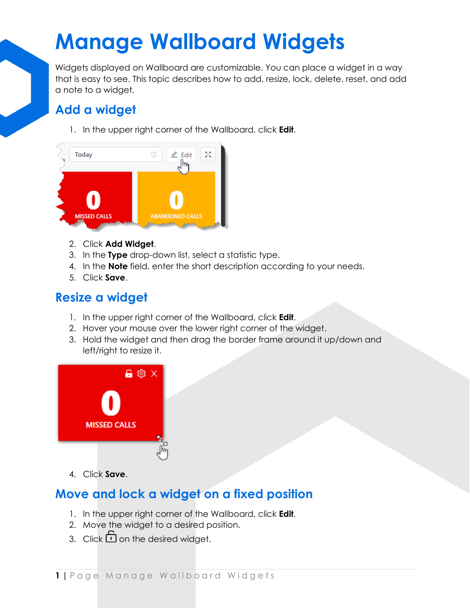# **Manage Wallboard Widgets**

Widgets displayed on Wallboard are customizable. You can place a widget in a way that is easy to see. This topic describes how to add, resize, lock, delete, reset, and add a note to a widget.

### **Add a widget**

1. In the upper right corner of the Wallboard, click **Edit**.



- 2. Click **Add Widget**.
- 3. In the **Type** drop-down list, select a statistic type.
- 4. In the **Note** field, enter the short description according to your needs.
- 5. Click **Save**.

### **Resize a widget**

- 1. In the upper right corner of the Wallboard, click **Edit**.
- 2. Hover your mouse over the lower right corner of the widget.
- 3. Hold the widget and then drag the border frame around it up/down and left/right to resize it.



4. Click **Save**.

### **Move and lock a widget on a fixed position**

- 1. In the upper right corner of the Wallboard, click **Edit**.
- 2. Move the widget to a desired position.
- 3. Click  $\Box$  on the desired widget.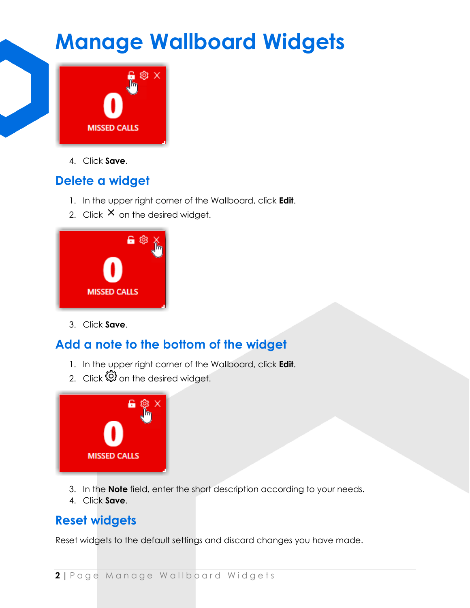### **Manage Wallboard Widgets**



4. Click **Save**.

### **Delete a widget**

- 1. In the upper right corner of the Wallboard, click **Edit**.
- 2. Click  $\times$  on the desired widget.



3. Click **Save**.

### **Add a note to the bottom of the widget**

- 1. In the upper right corner of the Wallboard, click **Edit**.
- 2. Click  $\mathbb{Q}$  on the desired widget.



- 3. In the **Note** field, enter the short description according to your needs.
- 4. Click **Save**.

### **Reset widgets**

Reset widgets to the default settings and discard changes you have made.